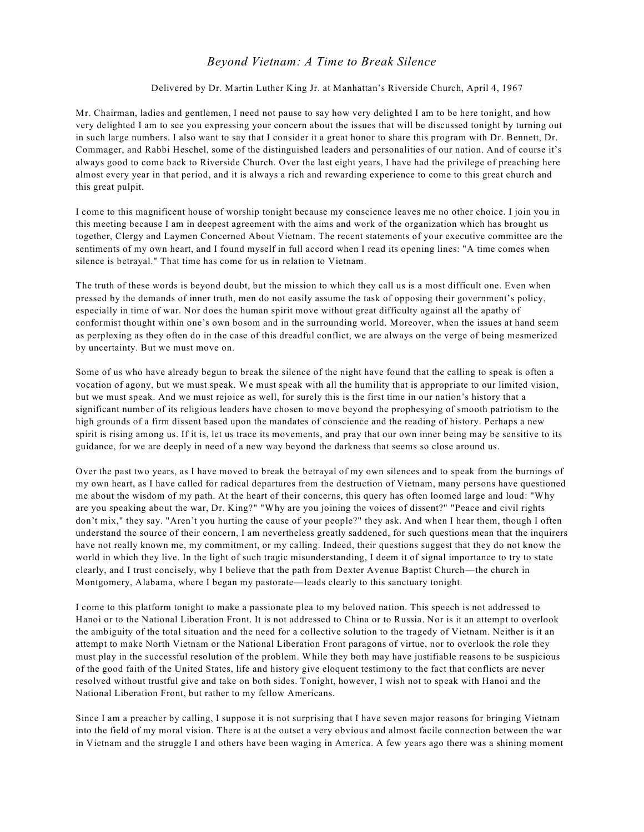## *Beyond Vietnam: A Time to Break Silence*

## Delivered by Dr. Martin Luther King Jr. at Manhattan's Riverside Church, April 4, 1967

Mr. Chairman, ladies and gentlemen, I need not pause to say how very delighted I am to be here tonight, and how very delighted I am to see you expressing your concern about the issues that will be discussed tonight by turning out in such large numbers. I also want to say that I consider it a great honor to share this program with Dr. Bennett, Dr. Commager, and Rabbi Heschel, some of the distinguished leaders and personalities of our nation. And of course it's always good to come back to Riverside Church. Over the last eight years, I have had the privilege of preaching here almost every year in that period, and it is always a rich and rewarding experience to come to this great church and this great pulpit.

I come to this magnificent house of worship tonight because my conscience leaves me no other choice. I join you in this meeting because I am in deepest agreement with the aims and work of the organization which has brought us together, Clergy and Laymen Concerned About Vietnam. The recent statements of your executive committee are the sentiments of my own heart, and I found myself in full accord when I read its opening lines: "A time comes when silence is betrayal." That time has come for us in relation to Vietnam.

The truth of these words is beyond doubt, but the mission to which they call us is a most difficult one. Even when pressed by the demands of inner truth, men do not easily assume the task of opposing their government's policy, especially in time of war. Nor does the human spirit move without great difficulty against all the apathy of conformist thought within one's own bosom and in the surrounding world. Moreover, when the issues at hand seem as perplexing as they often do in the case of this dreadful conflict, we are always on the verge of being mesmerized by uncertainty. But we must move on.

Some of us who have already begun to break the silence of the night have found that the calling to speak is often a vocation of agony, but we must speak. We must speak with all the humility that is appropriate to our limited vision, but we must speak. And we must rejoice as well, for surely this is the first time in our nation's history that a significant number of its religious leaders have chosen to move beyond the prophesying of smooth patriotism to the high grounds of a firm dissent based upon the mandates of conscience and the reading of history. Perhaps a new spirit is rising among us. If it is, let us trace its movements, and pray that our own inner being may be sensitive to its guidance, for we are deeply in need of a new way beyond the darkness that seems so close around us.

Over the past two years, as I have moved to break the betrayal of my own silences and to speak from the burnings of my own heart, as I have called for radical departures from the destruction of Vietnam, many persons have questioned me about the wisdom of my path. At the heart of their concerns, this query has often loomed large and loud: "Why are you speaking about the war, Dr. King?" "Why are you joining the voices of dissent?" "Peace and civil rights don't mix," they say. "Aren't you hurting the cause of your people?" they ask. And when I hear them, though I often understand the source of their concern, I am nevertheless greatly saddened, for such questions mean that the inquirers have not really known me, my commitment, or my calling. Indeed, their questions suggest that they do not know the world in which they live. In the light of such tragic misunderstanding, I deem it of signal importance to try to state clearly, and I trust concisely, why I believe that the path from Dexter Avenue Baptist Church—the church in Montgomery, Alabama, where I began my pastorate—leads clearly to this sanctuary tonight.

I come to this platform tonight to make a passionate plea to my beloved nation. This speech is not addressed to Hanoi or to the National Liberation Front. It is not addressed to China or to Russia. Nor is it an attempt to overlook the ambiguity of the total situation and the need for a collective solution to the tragedy of Vietnam. Neither is it an attempt to make North Vietnam or the National Liberation Front paragons of virtue, nor to overlook the role they must play in the successful resolution of the problem. While they both may have justifiable reasons to be suspicious of the good faith of the United States, life and history give eloquent testimony to the fact that conflicts are never resolved without trustful give and take on both sides. Tonight, however, I wish not to speak with Hanoi and the National Liberation Front, but rather to my fellow Americans.

Since I am a preacher by calling, I suppose it is not surprising that I have seven major reasons for bringing Vietnam into the field of my moral vision. There is at the outset a very obvious and almost facile connection between the war in Vietnam and the struggle I and others have been waging in America. A few years ago there was a shining moment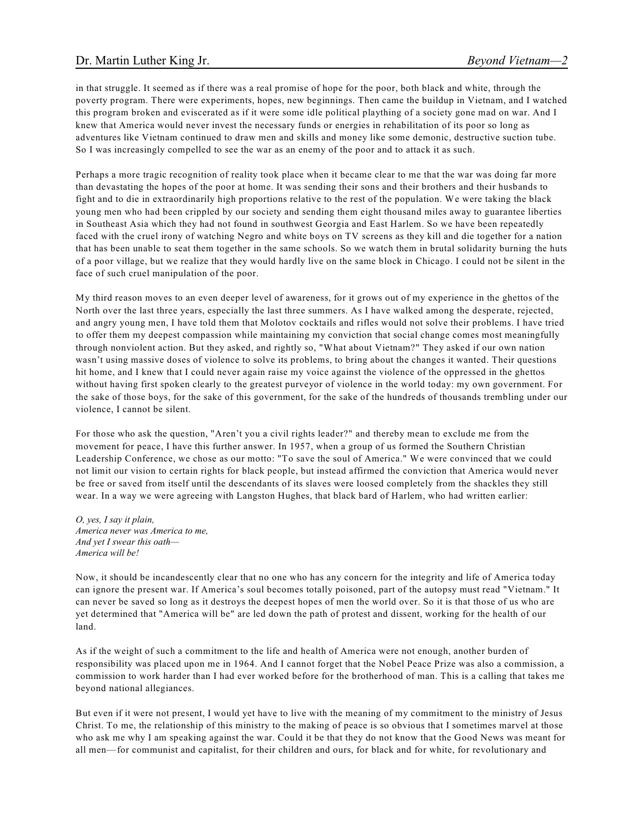in that struggle. It seemed as if there was a real promise of hope for the poor, both black and white, through the poverty program. There were experiments, hopes, new beginnings. Then came the buildup in Vietnam, and I watched this program broken and eviscerated as if it were some idle political plaything of a society gone mad on war. And I knew that America would never invest the necessary funds or energies in rehabilitation of its poor so long as adventures like Vietnam continued to draw men and skills and money like some demonic, destructive suction tube. So I was increasingly compelled to see the war as an enemy of the poor and to attack it as such.

Perhaps a more tragic recognition of reality took place when it became clear to me that the war was doing far more than devastating the hopes of the poor at home. It was sending their sons and their brothers and their husbands to fight and to die in extraordinarily high proportions relative to the rest of the population. We were taking the black young men who had been crippled by our society and sending them eight thousand miles away to guarantee liberties in Southeast Asia which they had not found in southwest Georgia and East Harlem. So we have been repeatedly faced with the cruel irony of watching Negro and white boys on TV screens as they kill and die together for a nation that has been unable to seat them together in the same schools. So we watch them in brutal solidarity burning the huts of a poor village, but we realize that they would hardly live on the same block in Chicago. I could not be silent in the face of such cruel manipulation of the poor.

My third reason moves to an even deeper level of awareness, for it grows out of my experience in the ghettos of the North over the last three years, especially the last three summers. As I have walked among the desperate, rejected, and angry young men, I have told them that Molotov cocktails and rifles would not solve their problems. I have tried to offer them my deepest compassion while maintaining my conviction that social change comes most meaningfully through nonviolent action. But they asked, and rightly so, "What about Vietnam?" They asked if our own nation wasn't using massive doses of violence to solve its problems, to bring about the changes it wanted. Their questions hit home, and I knew that I could never again raise my voice against the violence of the oppressed in the ghettos without having first spoken clearly to the greatest purveyor of violence in the world today: my own government. For the sake of those boys, for the sake of this government, for the sake of the hundreds of thousands trembling under our violence, I cannot be silent.

For those who ask the question, "Aren't you a civil rights leader?" and thereby mean to exclude me from the movement for peace, I have this further answer. In 1957, when a group of us formed the Southern Christian Leadership Conference, we chose as our motto: "To save the soul of America." We were convinced that we could not limit our vision to certain rights for black people, but instead affirmed the conviction that America would never be free or saved from itself until the descendants of its slaves were loosed completely from the shackles they still wear. In a way we were agreeing with Langston Hughes, that black bard of Harlem, who had written earlier:

*O, yes, I say it plain, America never was America to me, And yet I swear this oath— America will be!*

Now, it should be incandescently clear that no one who has any concern for the integrity and life of America today can ignore the present war. If America's soul becomes totally poisoned, part of the autopsy must read "Vietnam." It can never be saved so long as it destroys the deepest hopes of men the world over. So it is that those of us who are yet determined that "America will be" are led down the path of protest and dissent, working for the health of our land.

As if the weight of such a commitment to the life and health of America were not enough, another burden of responsibility was placed upon me in 1964. And I cannot forget that the Nobel Peace Prize was also a commission, a commission to work harder than I had ever worked before for the brotherhood of man. This is a calling that takes me beyond national allegiances.

But even if it were not present, I would yet have to live with the meaning of my commitment to the ministry of Jesus Christ. To me, the relationship of this ministry to the making of peace is so obvious that I sometimes marvel at those who ask me why I am speaking against the war. Could it be that they do not know that the Good News was meant for all men—for communist and capitalist, for their children and ours, for black and for white, for revolutionary and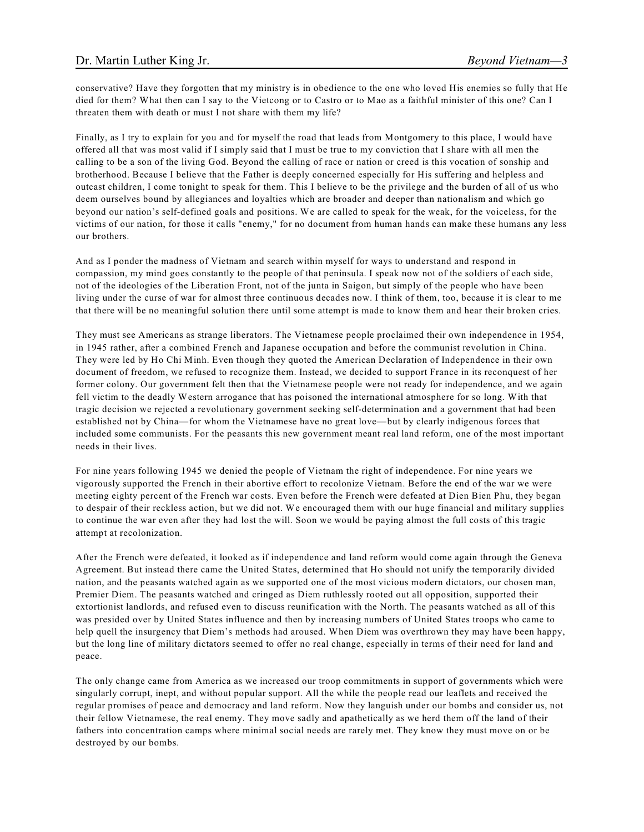conservative? Have they forgotten that my ministry is in obedience to the one who loved His enemies so fully that He died for them? What then can I say to the Vietcong or to Castro or to Mao as a faithful minister of this one? Can I threaten them with death or must I not share with them my life?

Finally, as I try to explain for you and for myself the road that leads from Montgomery to this place, I would have offered all that was most valid if I simply said that I must be true to my conviction that I share with all men the calling to be a son of the living God. Beyond the calling of race or nation or creed is this vocation of sonship and brotherhood. Because I believe that the Father is deeply concerned especially for His suffering and helpless and outcast children, I come tonight to speak for them. This I believe to be the privilege and the burden of all of us who deem ourselves bound by allegiances and loyalties which are broader and deeper than nationalism and which go beyond our nation's self-defined goals and positions. We are called to speak for the weak, for the voiceless, for the victims of our nation, for those it calls "enemy," for no document from human hands can make these humans any less our brothers.

And as I ponder the madness of Vietnam and search within myself for ways to understand and respond in compassion, my mind goes constantly to the people of that peninsula. I speak now not of the soldiers of each side, not of the ideologies of the Liberation Front, not of the junta in Saigon, but simply of the people who have been living under the curse of war for almost three continuous decades now. I think of them, too, because it is clear to me that there will be no meaningful solution there until some attempt is made to know them and hear their broken cries.

They must see Americans as strange liberators. The Vietnamese people proclaimed their own independence in 1954, in 1945 rather, after a combined French and Japanese occupation and before the communist revolution in China. They were led by Ho Chi Minh. Even though they quoted the American Declaration of Independence in their own document of freedom, we refused to recognize them. Instead, we decided to support France in its reconquest of her former colony. Our government felt then that the Vietnamese people were not ready for independence, and we again fell victim to the deadly Western arrogance that has poisoned the international atmosphere for so long. With that tragic decision we rejected a revolutionary government seeking self-determination and a government that had been established not by China—for whom the Vietnamese have no great love—but by clearly indigenous forces that included some communists. For the peasants this new government meant real land reform, one of the most important needs in their lives.

For nine years following 1945 we denied the people of Vietnam the right of independence. For nine years we vigorously supported the French in their abortive effort to recolonize Vietnam. Before the end of the war we were meeting eighty percent of the French war costs. Even before the French were defeated at Dien Bien Phu, they began to despair of their reckless action, but we did not. We encouraged them with our huge financial and military supplies to continue the war even after they had lost the will. Soon we would be paying almost the full costs of this tragic attempt at recolonization.

After the French were defeated, it looked as if independence and land reform would come again through the Geneva Agreement. But instead there came the United States, determined that Ho should not unify the temporarily divided nation, and the peasants watched again as we supported one of the most vicious modern dictators, our chosen man, Premier Diem. The peasants watched and cringed as Diem ruthlessly rooted out all opposition, supported their extortionist landlords, and refused even to discuss reunification with the North. The peasants watched as all of this was presided over by United States influence and then by increasing numbers of United States troops who came to help quell the insurgency that Diem's methods had aroused. When Diem was overthrown they may have been happy, but the long line of military dictators seemed to offer no real change, especially in terms of their need for land and peace.

The only change came from America as we increased our troop commitments in support of governments which were singularly corrupt, inept, and without popular support. All the while the people read our leaflets and received the regular promises of peace and democracy and land reform. Now they languish under our bombs and consider us, not their fellow Vietnamese, the real enemy. They move sadly and apathetically as we herd them off the land of their fathers into concentration camps where minimal social needs are rarely met. They know they must move on or be destroyed by our bombs.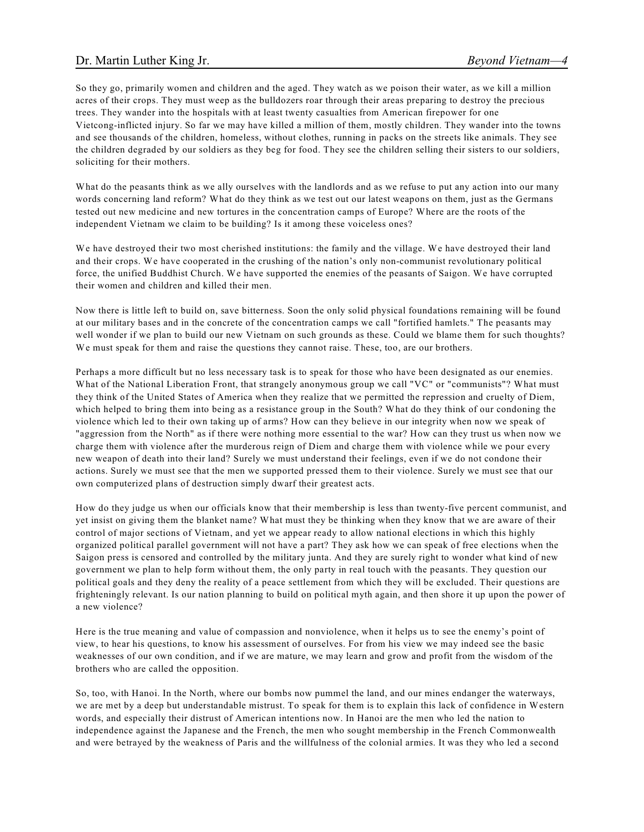## Dr. Martin Luther King Jr. *Beyond Vietnam—4*

So they go, primarily women and children and the aged. They watch as we poison their water, as we kill a million acres of their crops. They must weep as the bulldozers roar through their areas preparing to destroy the precious trees. They wander into the hospitals with at least twenty casualties from American firepower for one Vietcong-inflicted injury. So far we may have killed a million of them, mostly children. They wander into the towns and see thousands of the children, homeless, without clothes, running in packs on the streets like animals. They see the children degraded by our soldiers as they beg for food. They see the children selling their sisters to our soldiers, soliciting for their mothers.

What do the peasants think as we ally ourselves with the landlords and as we refuse to put any action into our many words concerning land reform? What do they think as we test out our latest weapons on them, just as the Germans tested out new medicine and new tortures in the concentration camps of Europe? Where are the roots of the independent Vietnam we claim to be building? Is it among these voiceless ones?

We have destroyed their two most cherished institutions: the family and the village. We have destroyed their land and their crops. We have cooperated in the crushing of the nation's only non-communist revolutionary political force, the unified Buddhist Church. We have supported the enemies of the peasants of Saigon. We have corrupted their women and children and killed their men.

Now there is little left to build on, save bitterness. Soon the only solid physical foundations remaining will be found at our military bases and in the concrete of the concentration camps we call "fortified hamlets." The peasants may well wonder if we plan to build our new Vietnam on such grounds as these. Could we blame them for such thoughts? We must speak for them and raise the questions they cannot raise. These, too, are our brothers.

Perhaps a more difficult but no less necessary task is to speak for those who have been designated as our enemies. What of the National Liberation Front, that strangely anonymous group we call "VC" or "communists"? What must they think of the United States of America when they realize that we permitted the repression and cruelty of Diem, which helped to bring them into being as a resistance group in the South? What do they think of our condoning the violence which led to their own taking up of arms? How can they believe in our integrity when now we speak of "aggression from the North" as if there were nothing more essential to the war? How can they trust us when now we charge them with violence after the murderous reign of Diem and charge them with violence while we pour every new weapon of death into their land? Surely we must understand their feelings, even if we do not condone their actions. Surely we must see that the men we supported pressed them to their violence. Surely we must see that our own computerized plans of destruction simply dwarf their greatest acts.

How do they judge us when our officials know that their membership is less than twenty-five percent communist, and yet insist on giving them the blanket name? What must they be thinking when they know that we are aware of their control of major sections of Vietnam, and yet we appear ready to allow national elections in which this highly organized political parallel government will not have a part? They ask how we can speak of free elections when the Saigon press is censored and controlled by the military junta. And they are surely right to wonder what kind of new government we plan to help form without them, the only party in real touch with the peasants. They question our political goals and they deny the reality of a peace settlement from which they will be excluded. Their questions are frighteningly relevant. Is our nation planning to build on political myth again, and then shore it up upon the power of a new violence?

Here is the true meaning and value of compassion and nonviolence, when it helps us to see the enemy's point of view, to hear his questions, to know his assessment of ourselves. For from his view we may indeed see the basic weaknesses of our own condition, and if we are mature, we may learn and grow and profit from the wisdom of the brothers who are called the opposition.

So, too, with Hanoi. In the North, where our bombs now pummel the land, and our mines endanger the waterways, we are met by a deep but understandable mistrust. To speak for them is to explain this lack of confidence in Western words, and especially their distrust of American intentions now. In Hanoi are the men who led the nation to independence against the Japanese and the French, the men who sought membership in the French Commonwealth and were betrayed by the weakness of Paris and the willfulness of the colonial armies. It was they who led a second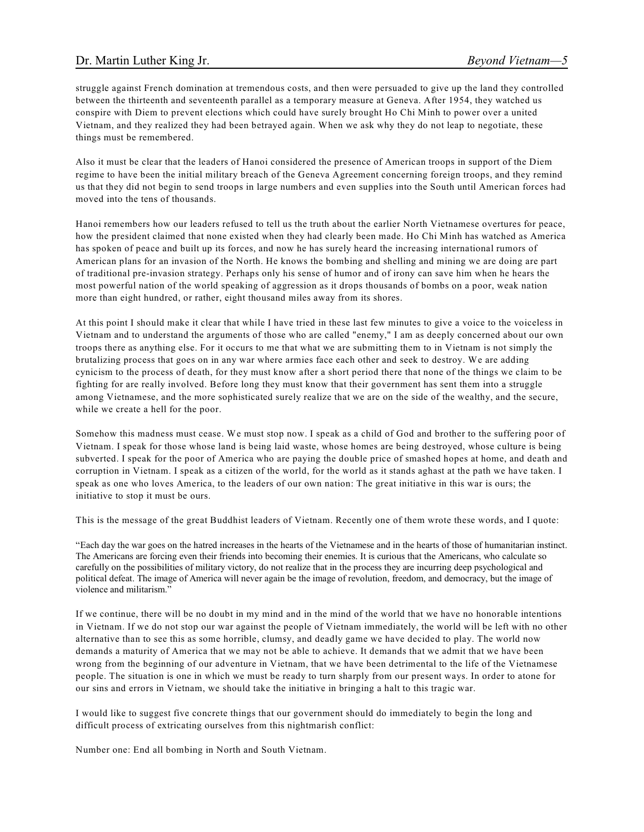## Dr. Martin Luther King Jr. *Beyond Vietnam—5*

struggle against French domination at tremendous costs, and then were persuaded to give up the land they controlled between the thirteenth and seventeenth parallel as a temporary measure at Geneva. After 1954, they watched us conspire with Diem to prevent elections which could have surely brought Ho Chi Minh to power over a united Vietnam, and they realized they had been betrayed again. When we ask why they do not leap to negotiate, these things must be remembered.

Also it must be clear that the leaders of Hanoi considered the presence of American troops in support of the Diem regime to have been the initial military breach of the Geneva Agreement concerning foreign troops, and they remind us that they did not begin to send troops in large numbers and even supplies into the South until American forces had moved into the tens of thousands.

Hanoi remembers how our leaders refused to tell us the truth about the earlier North Vietnamese overtures for peace, how the president claimed that none existed when they had clearly been made. Ho Chi Minh has watched as America has spoken of peace and built up its forces, and now he has surely heard the increasing international rumors of American plans for an invasion of the North. He knows the bombing and shelling and mining we are doing are part of traditional pre-invasion strategy. Perhaps only his sense of humor and of irony can save him when he hears the most powerful nation of the world speaking of aggression as it drops thousands of bombs on a poor, weak nation more than eight hundred, or rather, eight thousand miles away from its shores.

At this point I should make it clear that while I have tried in these last few minutes to give a voice to the voiceless in Vietnam and to understand the arguments of those who are called "enemy," I am as deeply concerned about our own troops there as anything else. For it occurs to me that what we are submitting them to in Vietnam is not simply the brutalizing process that goes on in any war where armies face each other and seek to destroy. We are adding cynicism to the process of death, for they must know after a short period there that none of the things we claim to be fighting for are really involved. Before long they must know that their government has sent them into a struggle among Vietnamese, and the more sophisticated surely realize that we are on the side of the wealthy, and the secure, while we create a hell for the poor.

Somehow this madness must cease. We must stop now. I speak as a child of God and brother to the suffering poor of Vietnam. I speak for those whose land is being laid waste, whose homes are being destroyed, whose culture is being subverted. I speak for the poor of America who are paying the double price of smashed hopes at home, and death and corruption in Vietnam. I speak as a citizen of the world, for the world as it stands aghast at the path we have taken. I speak as one who loves America, to the leaders of our own nation: The great initiative in this war is ours; the initiative to stop it must be ours.

This is the message of the great Buddhist leaders of Vietnam. Recently one of them wrote these words, and I quote:

"Each day the war goes on the hatred increases in the hearts of the Vietnamese and in the hearts of those of humanitarian instinct. The Americans are forcing even their friends into becoming their enemies. It is curious that the Americans, who calculate so carefully on the possibilities of military victory, do not realize that in the process they are incurring deep psychological and political defeat. The image of America will never again be the image of revolution, freedom, and democracy, but the image of violence and militarism."

If we continue, there will be no doubt in my mind and in the mind of the world that we have no honorable intentions in Vietnam. If we do not stop our war against the people of Vietnam immediately, the world will be left with no other alternative than to see this as some horrible, clumsy, and deadly game we have decided to play. The world now demands a maturity of America that we may not be able to achieve. It demands that we admit that we have been wrong from the beginning of our adventure in Vietnam, that we have been detrimental to the life of the Vietnamese people. The situation is one in which we must be ready to turn sharply from our present ways. In order to atone for our sins and errors in Vietnam, we should take the initiative in bringing a halt to this tragic war.

I would like to suggest five concrete things that our government should do immediately to begin the long and difficult process of extricating ourselves from this nightmarish conflict:

Number one: End all bombing in North and South Vietnam.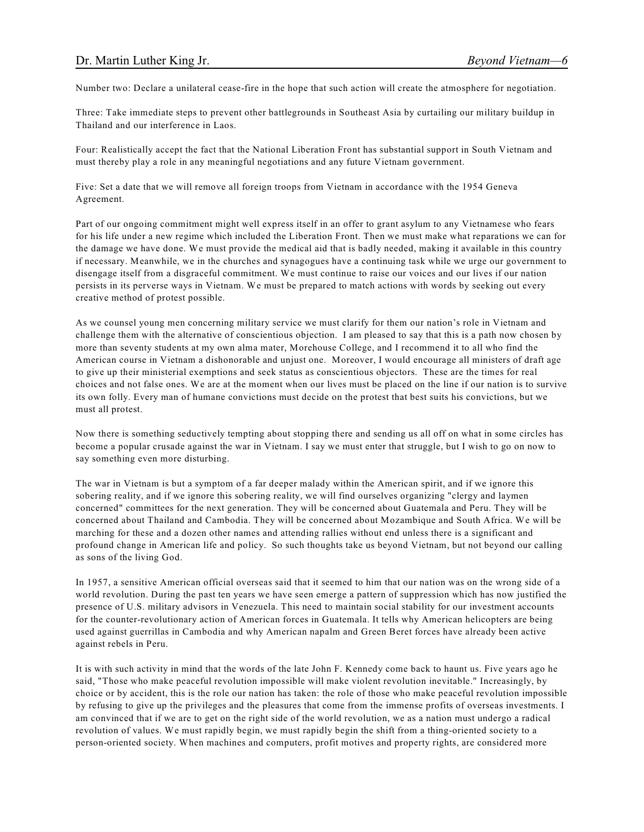Number two: Declare a unilateral cease-fire in the hope that such action will create the atmosphere for negotiation.

Three: Take immediate steps to prevent other battlegrounds in Southeast Asia by curtailing our military buildup in Thailand and our interference in Laos.

Four: Realistically accept the fact that the National Liberation Front has substantial support in South Vietnam and must thereby play a role in any meaningful negotiations and any future Vietnam government.

Five: Set a date that we will remove all foreign troops from Vietnam in accordance with the 1954 Geneva Agreement.

Part of our ongoing commitment might well express itself in an offer to grant asylum to any Vietnamese who fears for his life under a new regime which included the Liberation Front. Then we must make what reparations we can for the damage we have done. We must provide the medical aid that is badly needed, making it available in this country if necessary. Meanwhile, we in the churches and synagogues have a continuing task while we urge our government to disengage itself from a disgraceful commitment. We must continue to raise our voices and our lives if our nation persists in its perverse ways in Vietnam. We must be prepared to match actions with words by seeking out every creative method of protest possible.

As we counsel young men concerning military service we must clarify for them our nation's role in Vietnam and challenge them with the alternative of conscientious objection. I am pleased to say that this is a path now chosen by more than seventy students at my own alma mater, Morehouse College, and I recommend it to all who find the American course in Vietnam a dishonorable and unjust one. Moreover, I would encourage all ministers of draft age to give up their ministerial exemptions and seek status as conscientious objectors. These are the times for real choices and not false ones. We are at the moment when our lives must be placed on the line if our nation is to survive its own folly. Every man of humane convictions must decide on the protest that best suits his convictions, but we must all protest.

Now there is something seductively tempting about stopping there and sending us all off on what in some circles has become a popular crusade against the war in Vietnam. I say we must enter that struggle, but I wish to go on now to say something even more disturbing.

The war in Vietnam is but a symptom of a far deeper malady within the American spirit, and if we ignore this sobering reality, and if we ignore this sobering reality, we will find ourselves organizing "clergy and laymen concerned" committees for the next generation. They will be concerned about Guatemala and Peru. They will be concerned about Thailand and Cambodia. They will be concerned about Mozambique and South Africa. We will be marching for these and a dozen other names and attending rallies without end unless there is a significant and profound change in American life and policy. So such thoughts take us beyond Vietnam, but not beyond our calling as sons of the living God.

In 1957, a sensitive American official overseas said that it seemed to him that our nation was on the wrong side of a world revolution. During the past ten years we have seen emerge a pattern of suppression which has now justified the presence of U.S. military advisors in Venezuela. This need to maintain social stability for our investment accounts for the counter-revolutionary action of American forces in Guatemala. It tells why American helicopters are being used against guerrillas in Cambodia and why American napalm and Green Beret forces have already been active against rebels in Peru.

It is with such activity in mind that the words of the late John F. Kennedy come back to haunt us. Five years ago he said, "Those who make peaceful revolution impossible will make violent revolution inevitable." Increasingly, by choice or by accident, this is the role our nation has taken: the role of those who make peaceful revolution impossible by refusing to give up the privileges and the pleasures that come from the immense profits of overseas investments. I am convinced that if we are to get on the right side of the world revolution, we as a nation must undergo a radical revolution of values. We must rapidly begin, we must rapidly begin the shift from a thing-oriented society to a person-oriented society. When machines and computers, profit motives and property rights, are considered more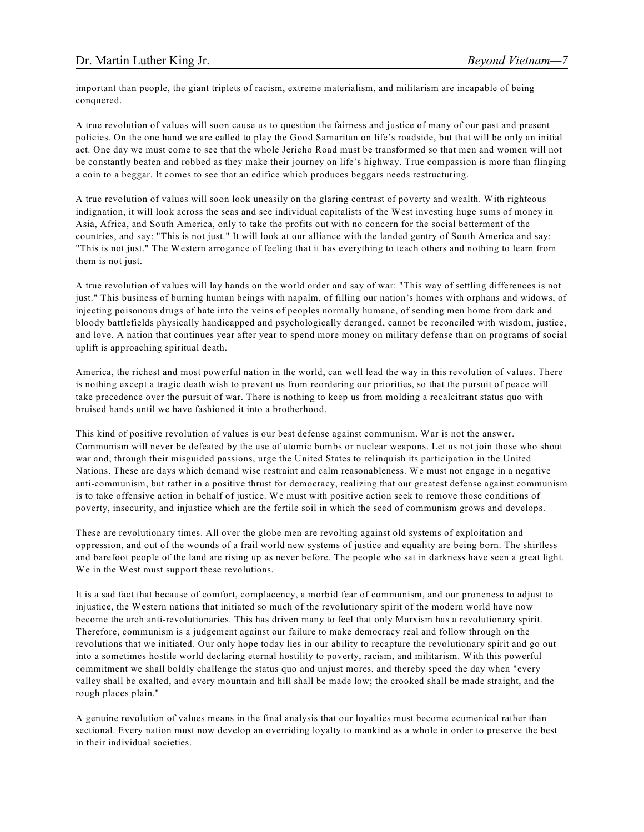important than people, the giant triplets of racism, extreme materialism, and militarism are incapable of being conquered.

A true revolution of values will soon cause us to question the fairness and justice of many of our past and present policies. On the one hand we are called to play the Good Samaritan on life's roadside, but that will be only an initial act. One day we must come to see that the whole Jericho Road must be transformed so that men and women will not be constantly beaten and robbed as they make their journey on life's highway. True compassion is more than flinging a coin to a beggar. It comes to see that an edifice which produces beggars needs restructuring.

A true revolution of values will soon look uneasily on the glaring contrast of poverty and wealth. With righteous indignation, it will look across the seas and see individual capitalists of the West investing huge sums of money in Asia, Africa, and South America, only to take the profits out with no concern for the social betterment of the countries, and say: "This is not just." It will look at our alliance with the landed gentry of South America and say: "This is not just." The Western arrogance of feeling that it has everything to teach others and nothing to learn from them is not just.

A true revolution of values will lay hands on the world order and say of war: "This way of settling differences is not just." This business of burning human beings with napalm, of filling our nation's homes with orphans and widows, of injecting poisonous drugs of hate into the veins of peoples normally humane, of sending men home from dark and bloody battlefields physically handicapped and psychologically deranged, cannot be reconciled with wisdom, justice, and love. A nation that continues year after year to spend more money on military defense than on programs of social uplift is approaching spiritual death.

America, the richest and most powerful nation in the world, can well lead the way in this revolution of values. There is nothing except a tragic death wish to prevent us from reordering our priorities, so that the pursuit of peace will take precedence over the pursuit of war. There is nothing to keep us from molding a recalcitrant status quo with bruised hands until we have fashioned it into a brotherhood.

This kind of positive revolution of values is our best defense against communism. War is not the answer. Communism will never be defeated by the use of atomic bombs or nuclear weapons. Let us not join those who shout war and, through their misguided passions, urge the United States to relinquish its participation in the United Nations. These are days which demand wise restraint and calm reasonableness. We must not engage in a negative anti-communism, but rather in a positive thrust for democracy, realizing that our greatest defense against communism is to take offensive action in behalf of justice. We must with positive action seek to remove those conditions of poverty, insecurity, and injustice which are the fertile soil in which the seed of communism grows and develops.

These are revolutionary times. All over the globe men are revolting against old systems of exploitation and oppression, and out of the wounds of a frail world new systems of justice and equality are being born. The shirtless and barefoot people of the land are rising up as never before. The people who sat in darkness have seen a great light. We in the West must support these revolutions.

It is a sad fact that because of comfort, complacency, a morbid fear of communism, and our proneness to adjust to injustice, the Western nations that initiated so much of the revolutionary spirit of the modern world have now become the arch anti-revolutionaries. This has driven many to feel that only Marxism has a revolutionary spirit. Therefore, communism is a judgement against our failure to make democracy real and follow through on the revolutions that we initiated. Our only hope today lies in our ability to recapture the revolutionary spirit and go out into a sometimes hostile world declaring eternal hostility to poverty, racism, and militarism. With this powerful commitment we shall boldly challenge the status quo and unjust mores, and thereby speed the day when "every valley shall be exalted, and every mountain and hill shall be made low; the crooked shall be made straight, and the rough places plain."

A genuine revolution of values means in the final analysis that our loyalties must become ecumenical rather than sectional. Every nation must now develop an overriding loyalty to mankind as a whole in order to preserve the best in their individual societies.